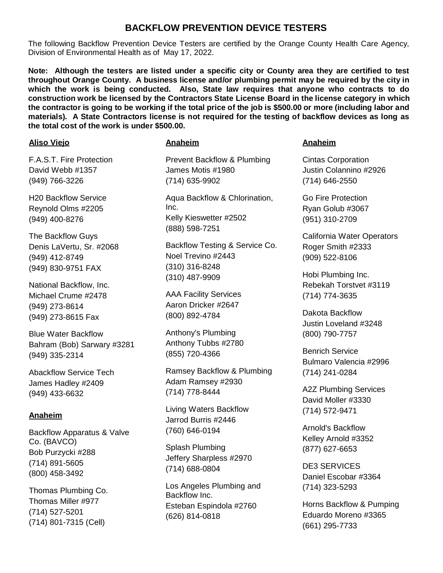# **BACKFLOW PREVENTION DEVICE TESTERS**

The following Backflow Prevention Device Testers are certified by the Orange County Health Care Agency, Division of Environmental Health as of May 17, 2022.

**Note: Although the testers are listed under a specific city or County area they are certified to test throughout Orange County. A business license and/or plumbing permit may be required by the city in which the work is being conducted. Also, State law requires that anyone who contracts to do construction work be licensed by the Contractors State License Board in the license category in which the contractor is going to be working if the total price of the job is \$500.00 or more (including labor and materials). A State Contractors license is not required for the testing of backflow devices as long as the total cost of the work is under \$500.00.**

# **Aliso Viejo**

F.A.S.T. Fire Protection David Webb #1357 (949) 766-3226

H20 Backflow Service Reynold Olms #2205 (949) 400-8276

The Backflow Guys Denis LaVertu, Sr. #2068 (949) 412-8749 (949) 830-9751 FAX

National Backflow, Inc. Michael Crume #2478 (949) 273-8614 (949) 273-8615 Fax

Blue Water Backflow Bahram (Bob) Sarwary #3281 (949) 335-2314

Abackflow Service Tech James Hadley #2409 (949) 433-6632

# **Anaheim**

Backflow Apparatus & Valve Co. (BAVCO) Bob Purzycki #288 (714) 891-5605 (800) 458-3492

Thomas Plumbing Co. Thomas Miller #977 (714) 527-5201 (714) 801-7315 (Cell)

# **Anaheim**

Prevent Backflow & Plumbing James Motis #1980 (714) 635-9902

Aqua Backflow & Chlorination, Inc. Kelly Kieswetter #2502 (888) 598-7251

Backflow Testing & Service Co. Noel Trevino #2443 (310) 316-8248 (310) 487-9909

AAA Facility Services Aaron Dricker #2647 (800) 892-4784

Anthony's Plumbing Anthony Tubbs #2780 (855) 720-4366

Ramsey Backflow & Plumbing Adam Ramsey #2930 (714) 778-8444

Living Waters Backflow Jarrod Burris #2446 (760) 646-0194

Splash Plumbing Jeffery Sharpless #2970 (714) 688-0804

Los Angeles Plumbing and Backflow Inc. Esteban Espindola #2760 (626) 814-0818

# **Anaheim**

Cintas Corporation Justin Colannino #2926 (714) 646-2550

Go Fire Protection Ryan Golub #3067 (951) 310-2709

California Water Operators Roger Smith #2333 (909) 522-8106

Hobi Plumbing Inc. Rebekah Torstvet #3119 (714) 774-3635

Dakota Backflow Justin Loveland #3248 (800) 790-7757

Benrich Service Bulmaro Valencia #2996 (714) 241-0284

A2Z Plumbing Services David Moller #3330 (714) 572-9471

Arnold's Backflow Kelley Arnold #3352 (877) 627-6653

DE3 SERVICES Daniel Escobar #3364 (714) 323-5293

Horns Backflow & Pumping Eduardo Moreno #3365 (661) 295-7733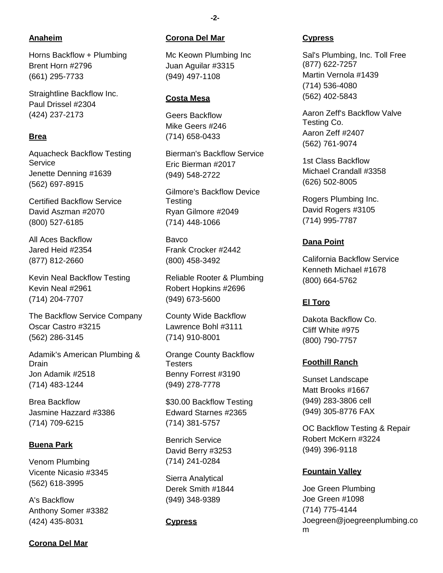# **Anaheim**

Horns Backflow + Plumbing Brent Horn #2796 (661) 295-7733

Straightline Backflow Inc. Paul Drissel #2304 (424) 237-2173

# **Brea**

Aquacheck Backflow Testing **Service** Jenette Denning #1639 (562) 697-8915

Certified Backflow Service David Aszman #2070 (800) 527-6185

All Aces Backflow Jared Heid #2354 (877) 812-2660

Kevin Neal Backflow Testing Kevin Neal #2961 (714) 204-7707

The Backflow Service Company Oscar Castro #3215 (562) 286-3145

Adamik's American Plumbing & Drain Jon Adamik #2518 (714) 483-1244

Brea Backflow Jasmine Hazzard #3386 (714) 709-6215

## **Buena Park**

Venom Plumbing Vicente Nicasio #3345 (562) 618-3995

A's Backflow Anthony Somer #3382 (424) 435-8031

# **Corona Del Mar**

#### **Corona Del Mar**

Mc Keown Plumbing Inc Juan Aguilar #3315 (949) 497-1108

#### **Costa Mesa**

Geers Backflow Mike Geers #246 (714) 658-0433

Bierman's Backflow Service Eric Bierman #2017 (949) 548-2722

Gilmore's Backflow Device **Testing** Ryan Gilmore #2049 (714) 448-1066

Bavco Frank Crocker #2442 (800) 458-3492

Reliable Rooter & Plumbing Robert Hopkins #2696 (949) 673-5600

County Wide Backflow Lawrence Bohl #3111 (714) 910-8001

Orange County Backflow **Testers** Benny Forrest #3190 (949) 278-7778

\$30.00 Backflow Testing Edward Starnes #2365 (714) 381-5757

Benrich Service David Berry #3253 (714) 241-0284

Sierra Analytical Derek Smith #1844 (949) 348-9389

#### **Cypress**

#### **Cypress**

Sal's Plumbing, Inc. Toll Free (877) 622-7257 Martin Vernola #1439 (714) 536-4080 (562) 402-5843

Aaron Zeff's Backflow Valve Testing Co. Aaron Zeff #2407 (562) 761-9074

1st Class Backflow Michael Crandall #3358 (626) 502-8005

Rogers Plumbing Inc. David Rogers #3105 (714) 995-7787

#### **Dana Point**

California Backflow Service Kenneth Michael #1678 (800) 664-5762

#### **El Toro**

Dakota Backflow Co. Cliff White #975 (800) 790-7757

#### **Foothill Ranch**

Sunset Landscape Matt Brooks #1667 (949) 283-3806 cell (949) 305-8776 FAX

OC Backflow Testing & Repair Robert McKern #3224 (949) 396-9118

## **Fountain Valley**

Joe Green Plumbing Joe Green #1098 (714) 775-4144 Joegreen@joegreenplumbing.co m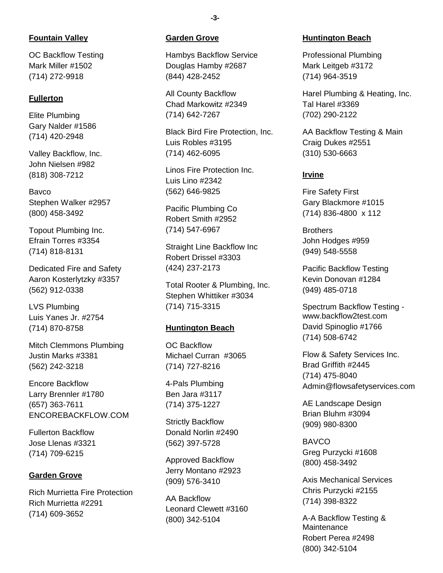# **Fountain Valley**

OC Backflow Testing Mark Miller #1502 (714) 272-9918

# **Fullerton**

Elite Plumbing Gary Nalder #1586 (714) 420-2948

Valley Backflow, Inc. John Nielsen #982 (818) 308-7212

Bavco Stephen Walker #2957 (800) 458-3492

Topout Plumbing Inc. Efrain Torres #3354 (714) 818-8131

Dedicated Fire and Safety Aaron Kosterlytzky #3357 (562) 912-0338

LVS Plumbing Luis Yanes Jr. #2754 (714) 870-8758

Mitch Clemmons Plumbing Justin Marks #3381 (562) 242-3218

Encore Backflow Larry Brennler #1780 (657) 363-7611 ENCOREBACKFLOW.COM

Fullerton Backflow Jose Llenas #3321 (714) 709-6215

# **Garden Grove**

Rich Murrietta Fire Protection Rich Murrietta #2291 (714) 609-3652

#### **Garden Grove**

Hambys Backflow Service Douglas Hamby #2687 (844) 428-2452

All County Backflow Chad Markowitz #2349 (714) 642-7267

Black Bird Fire Protection, Inc. Luis Robles #3195 (714) 462-6095

Linos Fire Protection Inc. Luis Lino #2342 (562) 646-9825

Pacific Plumbing Co Robert Smith #2952 (714) 547-6967

Straight Line Backflow Inc Robert Drissel #3303 (424) 237-2173

Total Rooter & Plumbing, Inc. Stephen Whittiker #3034 (714) 715-3315

## **Huntington Beach**

OC Backflow Michael Curran #3065 (714) 727-8216

4-Pals Plumbing Ben Jara #3117 (714) 375-1227

Strictly Backflow Donald Norlin #2490 (562) 397-5728

Approved Backflow Jerry Montano #2923 (909) 576-3410

AA Backflow Leonard Clewett #3160 (800) 342-5104

#### **Huntington Beach**

Professional Plumbing Mark Leitgeb #3172 (714) 964-3519

Harel Plumbing & Heating, Inc. Tal Harel #3369 (702) 290-2122

AA Backflow Testing & Main Craig Dukes #2551 (310) 530-6663

# **Irvine**

Fire Safety First Gary Blackmore #1015 (714) 836-4800 x 112

**Brothers** John Hodges #959 (949) 548-5558

Pacific Backflow Testing Kevin Donovan #1284 (949) 485-0718

Spectrum Backflow Testing www.backflow2test.com David Spinoglio #1766 (714) 508-6742

Flow & Safety Services Inc. Brad Griffith #2445 (714) 475-8040 Admin@flowsafetyservices.com

AE Landscape Design Brian Bluhm #3094 (909) 980-8300

**BAVCO** Greg Purzycki #1608 (800) 458-3492

Axis Mechanical Services Chris Purzycki #2155 (714) 398-8322

A-A Backflow Testing & **Maintenance** Robert Perea #2498 (800) 342-5104

**-3-**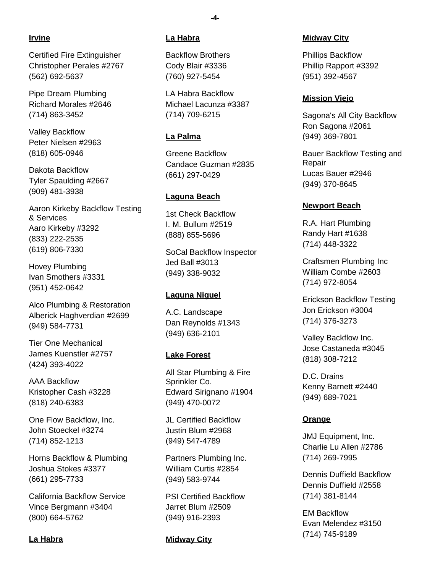# **Irvine**

Certified Fire Extinguisher Christopher Perales #2767 (562) 692-5637

Pipe Dream Plumbing Richard Morales #2646 (714) 863-3452

Valley Backflow Peter Nielsen #2963 (818) 605-0946

Dakota Backflow Tyler Spaulding #2667 (909) 481-3938

Aaron Kirkeby Backflow Testing & Services Aaro Kirkeby #3292 (833) 222-2535 (619) 806-7330

Hovey Plumbing Ivan Smothers #3331 (951) 452-0642

Alco Plumbing & Restoration Alberick Haghverdian #2699 (949) 584-7731

Tier One Mechanical James Kuenstler #2757 (424) 393-4022

AAA Backflow Kristopher Cash #3228 (818) 240-6383

One Flow Backflow, Inc. John Stoeckel #3274 (714) 852-1213

Horns Backflow & Plumbing Joshua Stokes #3377 (661) 295-7733

California Backflow Service Vince Bergmann #3404 (800) 664-5762

## **La Habra**

## **La Habra**

Backflow Brothers Cody Blair #3336 (760) 927-5454

LA Habra Backflow Michael Lacunza #3387 (714) 709-6215

## **La Palma**

Greene Backflow Candace Guzman #2835 (661) 297-0429

# **Laguna Beach**

1st Check Backflow I. M. Bullum #2519 (888) 855-5696

SoCal Backflow Inspector Jed Ball #3013 (949) 338-9032

## **Laguna Niguel**

A.C. Landscape Dan Reynolds #1343 (949) 636-2101

## **Lake Forest**

All Star Plumbing & Fire Sprinkler Co. Edward Sirignano #1904 (949) 470-0072

JL Certified Backflow Justin Blum #2968 (949) 547-4789

Partners Plumbing Inc. William Curtis #2854 (949) 583-9744

PSI Certified Backflow Jarret Blum #2509 (949) 916-2393

## **Midway City**

#### **Midway City**

Phillips Backflow Phillip Rapport #3392 (951) 392-4567

## **Mission Viejo**

Sagona's All City Backflow Ron Sagona #2061 (949) 369-7801

Bauer Backflow Testing and Repair Lucas Bauer #2946 (949) 370-8645

# **Newport Beach**

R.A. Hart Plumbing Randy Hart #1638 (714) 448-3322

Craftsmen Plumbing Inc William Combe #2603 (714) 972-8054

Erickson Backflow Testing Jon Erickson #3004 (714) 376-3273

Valley Backflow Inc. Jose Castaneda #3045 (818) 308-7212

D.C. Drains Kenny Barnett #2440 (949) 689-7021

## **Orange**

JMJ Equipment, Inc. Charlie Lu Allen #2786 (714) 269-7995

Dennis Duffield Backflow Dennis Duffield #2558 (714) 381-8144

EM Backflow Evan Melendez #3150 (714) 745-9189

**-4-**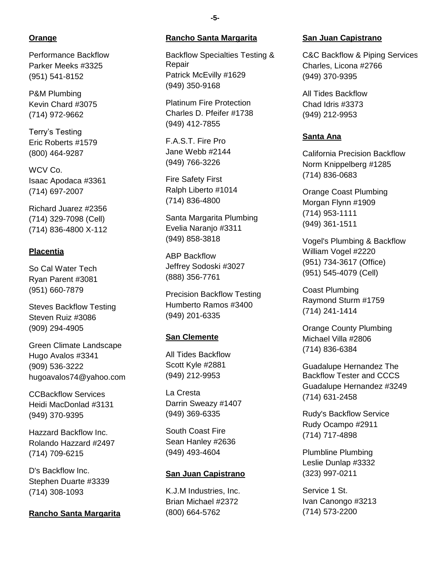## **Orange**

Performance Backflow Parker Meeks #3325 (951) 541-8152

P&M Plumbing Kevin Chard #3075 (714) 972-9662

Terry's Testing Eric Roberts #1579 (800) 464-9287

WCV Co. Isaac Apodaca #3361 (714) 697-2007

Richard Juarez #2356 (714) 329-7098 (Cell) (714) 836-4800 X-112

## **Placentia**

So Cal Water Tech Ryan Parent #3081 (951) 660-7879

Steves Backflow Testing Steven Ruiz #3086 (909) 294-4905

Green Climate Landscape Hugo Avalos #3341 (909) 536-3222 hugoavalos74@yahoo.com

CCBackflow Services Heidi MacDonlad #3131 (949) 370-9395

Hazzard Backflow Inc. Rolando Hazzard #2497 (714) 709-6215

D's Backflow Inc. Stephen Duarte #3339 (714) 308-1093

## **Rancho Santa Margarita**

#### **Rancho Santa Margarita**

Backflow Specialties Testing & Repair Patrick McEvilly #1629 (949) 350-9168

Platinum Fire Protection Charles D. Pfeifer #1738 (949) 412-7855

F.A.S.T. Fire Pro Jane Webb #2144 (949) 766-3226

Fire Safety First Ralph Liberto #1014 (714) 836-4800

Santa Margarita Plumbing Evelia Naranjo #3311 (949) 858-3818

ABP Backflow Jeffrey Sodoski #3027 (888) 356-7761

Precision Backflow Testing Humberto Ramos #3400 (949) 201-6335

# **San Clemente**

All Tides Backflow Scott Kyle #2881 (949) 212-9953

La Cresta Darrin Sweazy #1407 (949) 369-6335

South Coast Fire Sean Hanley #2636 (949) 493-4604

#### **San Juan Capistrano**

K.J.M Industries, Inc. Brian Michael #2372 (800) 664-5762

#### **San Juan Capistrano**

C&C Backflow & Piping Services Charles, Licona #2766 (949) 370-9395

All Tides Backflow Chad Idris #3373 (949) 212-9953

# **Santa Ana**

California Precision Backflow Norm Knippelberg #1285 (714) 836-0683

Orange Coast Plumbing Morgan Flynn #1909 (714) 953-1111 (949) 361-1511

Vogel's Plumbing & Backflow William Vogel #2220 (951) 734-3617 (Office) (951) 545-4079 (Cell)

Coast Plumbing Raymond Sturm #1759 (714) 241-1414

Orange County Plumbing Michael Villa #2806 (714) 836-6384

Guadalupe Hernandez The Backflow Tester and CCCS Guadalupe Hernandez #3249 (714) 631-2458

Rudy's Backflow Service Rudy Ocampo #2911 (714) 717-4898

Plumbline Plumbing Leslie Dunlap #3332 (323) 997-0211

Service 1 St. Ivan Canongo #3213 (714) 573-2200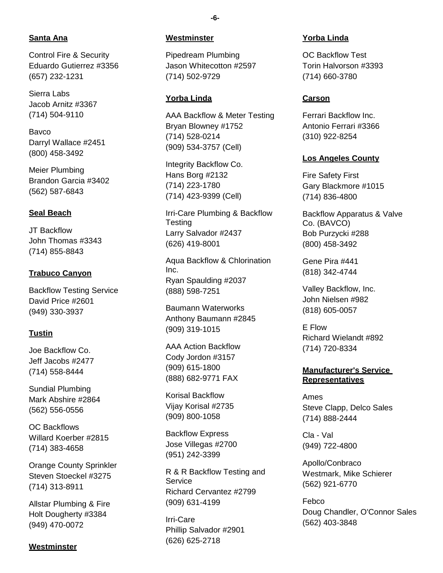# **Santa Ana**

Control Fire & Security Eduardo Gutierrez #3356 (657) 232-1231

Sierra Labs Jacob Arnitz #3367 (714) 504-9110

Bavco Darryl Wallace #2451 (800) 458-3492

Meier Plumbing Brandon Garcia #3402 (562) 587-6843

# **Seal Beach**

JT Backflow John Thomas #3343 (714) 855-8843

# **Trabuco Canyon**

Backflow Testing Service David Price #2601 (949) 330-3937

## **Tustin**

Joe Backflow Co. Jeff Jacobs #2477 (714) 558-8444

Sundial Plumbing Mark Abshire #2864 (562) 556-0556

OC Backflows Willard Koerber #2815 (714) 383-4658

Orange County Sprinkler Steven Stoeckel #3275 (714) 313-8911

Allstar Plumbing & Fire Holt Dougherty #3384 (949) 470-0072

#### **Westminster**

#### **Westminster**

Pipedream Plumbing Jason Whitecotton #2597 (714) 502-9729

#### **Yorba Linda**

AAA Backflow & Meter Testing Bryan Blowney #1752 (714) 528-0214 (909) 534-3757 (Cell)

Integrity Backflow Co. Hans Borg #2132 (714) 223-1780 (714) 423-9399 (Cell)

Irri-Care Plumbing & Backflow **Testing** Larry Salvador #2437 (626) 419-8001

Aqua Backflow & Chlorination Inc. Ryan Spaulding #2037 (888) 598-7251

Baumann Waterworks Anthony Baumann #2845 (909) 319-1015

AAA Action Backflow Cody Jordon #3157 (909) 615-1800 (888) 682-9771 FAX

Korisal Backflow Vijay Korisal #2735 (909) 800-1058

Backflow Express Jose Villegas #2700 (951) 242-3399

R & R Backflow Testing and **Service** Richard Cervantez #2799 (909) 631-4199

Irri-Care Phillip Salvador #2901 (626) 625-2718

#### **Yorba Linda**

OC Backflow Test Torin Halvorson #3393 (714) 660-3780

#### **Carson**

Ferrari Backflow Inc. Antonio Ferrari #3366 (310) 922-8254

#### **Los Angeles County**

Fire Safety First Gary Blackmore #1015 (714) 836-4800

Backflow Apparatus & Valve Co. (BAVCO) Bob Purzycki #288 (800) 458-3492

Gene Pira #441 (818) 342-4744

Valley Backflow, Inc. John Nielsen #982 (818) 605-0057

E Flow Richard Wielandt #892 (714) 720-8334

## **Manufacturer's Service Representatives**

Ames Steve Clapp, Delco Sales (714) 888-2444

Cla - Val (949) 722-4800

Apollo/Conbraco Westmark, Mike Schierer (562) 921-6770

Febco Doug Chandler, O'Connor Sales (562) 403-3848

**-6-**